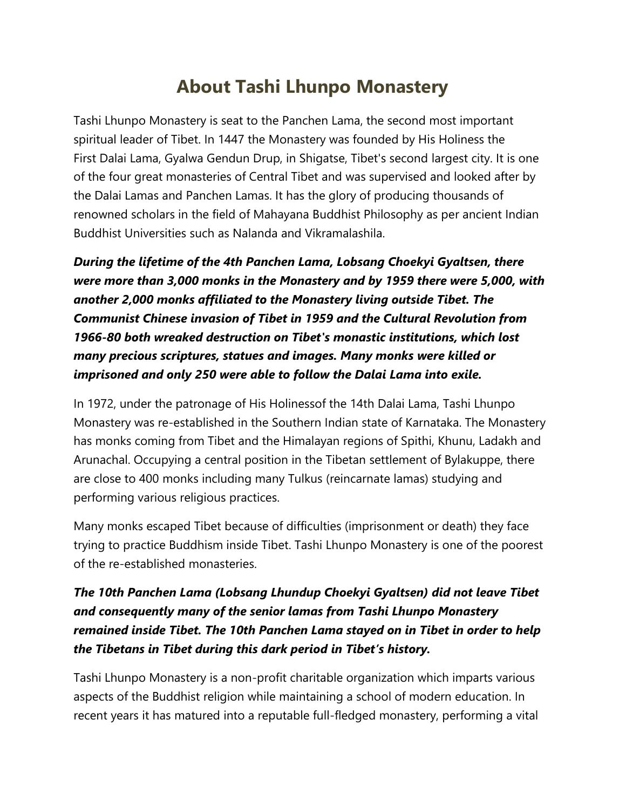## **About Tashi Lhunpo Monastery**

Tashi Lhunpo Monastery is seat to the Panchen Lama, the second most important spiritual leader of Tibet. In 1447 the Monastery was founded by His Holiness the First Dalai Lama, Gyalwa Gendun Drup, in Shigatse, Tibet's second largest city. It is one of the four great monasteries of Central Tibet and was supervised and looked after by the Dalai Lamas and Panchen Lamas. It has the glory of producing thousands of renowned scholars in the field of Mahayana Buddhist Philosophy as per ancient Indian Buddhist Universities such as Nalanda and Vikramalashila.

*During the lifetime of the 4th Panchen Lama, Lobsang Choekyi Gyaltsen, there were more than 3,000 monks in the Monastery and by 1959 there were 5,000, with another 2,000 monks affiliated to the Monastery living outside Tibet. The Communist Chinese invasion of Tibet in 1959 and the Cultural Revolution from 1966-80 both wreaked destruction on Tibet's monastic institutions, which lost many precious scriptures, statues and images. Many monks were killed or imprisoned and only 250 were able to follow the Dalai Lama into exile.*

In 1972, under the patronage of His Holinessof the 14th Dalai Lama, Tashi Lhunpo Monastery was re-established in the Southern Indian state of Karnataka. The Monastery has monks coming from Tibet and the Himalayan regions of Spithi, Khunu, Ladakh and Arunachal. Occupying a central position in the Tibetan settlement of Bylakuppe, there are close to 400 monks including many Tulkus (reincarnate lamas) studying and performing various religious practices.

Many monks escaped Tibet because of difficulties (imprisonment or death) they face trying to practice Buddhism inside Tibet. Tashi Lhunpo Monastery is one of the poorest of the re-established monasteries.

## *The 10th Panchen Lama (Lobsang Lhundup Choekyi Gyaltsen) did not leave Tibet and consequently many of the senior lamas from Tashi Lhunpo Monastery remained inside Tibet. The 10th Panchen Lama stayed on in Tibet in order to help the Tibetans in Tibet during this dark period in Tibet's history.*

Tashi Lhunpo Monastery is a non-profit charitable organization which imparts various aspects of the Buddhist religion while maintaining a school of modern education. In recent years it has matured into a reputable full-fledged monastery, performing a vital